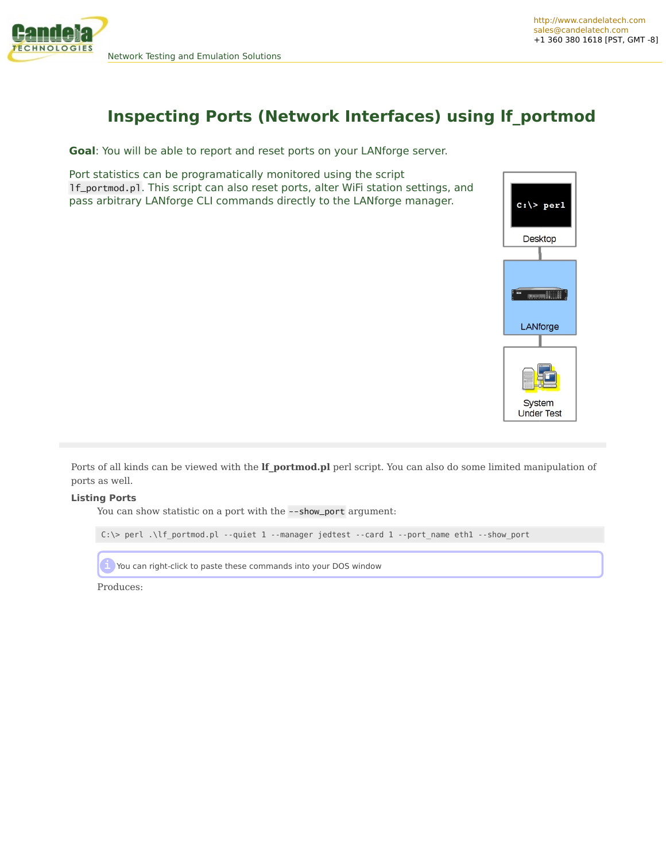

# **Inspecting Ports (Network Interfaces) using lf\_portmod**

**Goal**: You will be able to report and reset ports on your LANforge server.

Port statistics can be programatically monitored using the script lf\_portmod.pl. This script can also reset ports, alter WiFi station settings, and pass arbitrary LANforge CLI commands directly to the LANforge manager.



Ports of all kinds can be viewed with the **lf\_portmod.pl** perl script. You can also do some limited manipulation of ports as well.

#### **Listing Ports**

You can show statistic on a port with the --show\_port argument:



**i** You can right-click to paste these commands into your DOS window

Produces: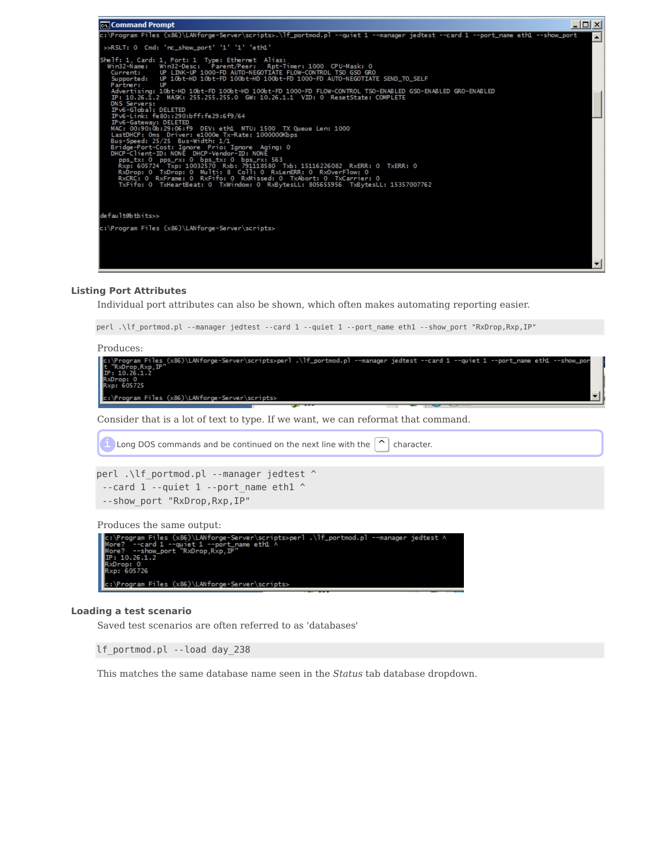

## **Listing Port Attributes**

Individual port attributes can also be shown, which often makes automating reporting easier.

perl .\lf\_portmod.pl --manager jedtest --card 1 --quiet 1 --port\_name eth1 --show\_port "RxDrop,Rxp,IP"

Produces:

| IP: 10.26.1.2<br>RxDrop: 0<br>Rxp: 605725                                         | c:\Program Files (x86)\LANforge-Server\scripts>perl .\lf_portmod.pl --manager jedtest --card 1 --quiet 1 --port_name eth1 --show_por<br>"RxDrop, Rxp, IP" |  |  |  |  |  |  |  |  |
|-----------------------------------------------------------------------------------|-----------------------------------------------------------------------------------------------------------------------------------------------------------|--|--|--|--|--|--|--|--|
|                                                                                   | c:\Program Files (x86)\LANforge-Server\scripts>                                                                                                           |  |  |  |  |  |  |  |  |
| Consider that is a lot of text to type. If we want, we can reformat that command. |                                                                                                                                                           |  |  |  |  |  |  |  |  |
|                                                                                   |                                                                                                                                                           |  |  |  |  |  |  |  |  |

**i** Long DOS commands and be continued on the next line with the  $\vert \uparrow \vert$  character.

```
perl .\lf portmod.pl --manager jedtest ^
--card 1 --quiet 1 --port name ethl \hat{ }--show_port "RxDrop,Rxp,IP"
```
Produces the same output:

| Arc:\Proqram Files (x86)\LANforge-Server\scripts>perl .\lf_portmod.pl --manager jedtest \ال<br>More? --card 1 --quiet 1 --port_name eth1 ^<br>More? --show_port "RxDrop, Rxp, IP"<br>IP: 10.26.1.2<br>RxDrop: 0<br>Rxp: 605726 |  |  |
|--------------------------------------------------------------------------------------------------------------------------------------------------------------------------------------------------------------------------------|--|--|
| c:\Program Files (x86)\LANforge-Server\scripts>                                                                                                                                                                                |  |  |
|                                                                                                                                                                                                                                |  |  |

#### **Loading a test scenario**

Saved test scenarios are often referred to as 'databases'

lf\_portmod.pl --load day\_238

This matches the same database name seen in the *Status* tab database dropdown.